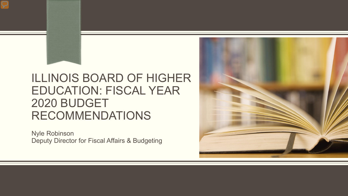### ILLINOIS BOARD OF HIGHER EDUCATION: FISCAL YEAR 2020 BUDGET RECOMMENDATIONS

Nyle Robinson Deputy Director for Fiscal Affairs & Budgeting

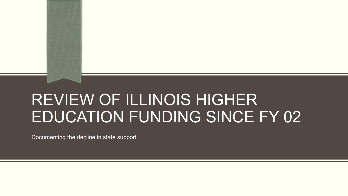# REVIEW OF ILLINOIS HIGHER EDUCATION FUNDING SINCE FY 02

Documenting the decline in state support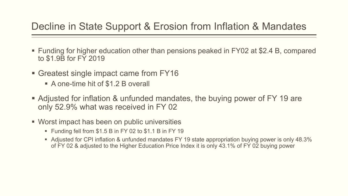#### Decline in State Support & Erosion from Inflation & Mandates

- Funding for higher education other than pensions peaked in FY02 at \$2.4 B, compared to \$1.9B for FY 2019
- Greatest single impact came from FY16
	- A one-time hit of \$1.2 B overall
- Adjusted for inflation & unfunded mandates, the buying power of FY 19 are only 52.9% what was received in FY 02
- Worst impact has been on public universities
	- Funding fell from \$1.5 B in FY 02 to \$1.1 B in FY 19
	- Adjusted for CPI inflation & unfunded mandates FY 19 state appropriation buying power is only 48.3% of FY 02 & adjusted to the Higher Education Price Index it is only 43.1% of FY 02 buying power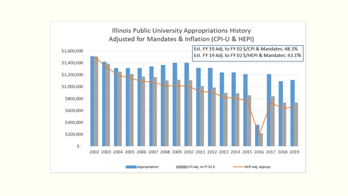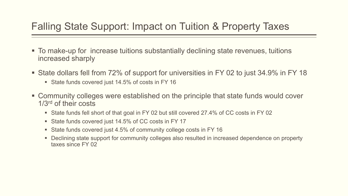#### Falling State Support: Impact on Tuition & Property Taxes

- To make-up for increase tuitions substantially declining state revenues, tuitions increased sharply
- State dollars fell from 72% of support for universities in FY 02 to just 34.9% in FY 18
	- State funds covered just 14.5% of costs in FY 16
- Community colleges were established on the principle that state funds would cover 1/3rd of their costs
	- State funds fell short of that goal in FY 02 but still covered 27.4% of CC costs in FY 02
	- State funds covered just 14.5% of CC costs in FY 17
	- State funds covered just 4.5% of community college costs in FY 16
	- Declining state support for community colleges also resulted in increased dependence on property taxes since FY 02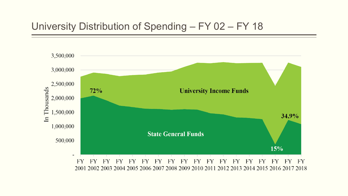#### University Distribution of Spending – FY 02 – FY 18

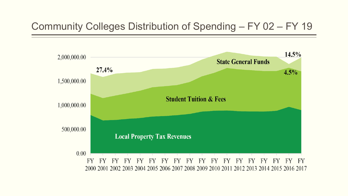#### Community Colleges Distribution of Spending – FY 02 – FY 19

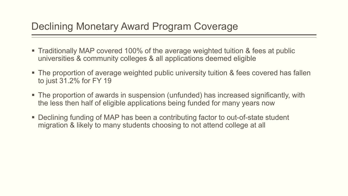#### Declining Monetary Award Program Coverage

- Traditionally MAP covered 100% of the average weighted tuition & fees at public universities & community colleges & all applications deemed eligible
- The proportion of average weighted public university tuition & fees covered has fallen to just 31.2% for FY 19
- The proportion of awards in suspension (unfunded) has increased significantly, with the less then half of eligible applications being funded for many years now
- **Declining funding of MAP has been a contributing factor to out-of-state student** migration & likely to many students choosing to not attend college at all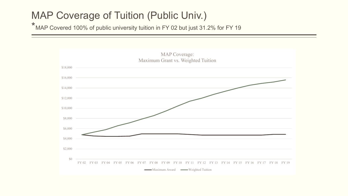#### MAP Coverage of Tuition (Public Univ.)

\* MAP Covered 100% of public university tuition in FY 02 but just 31.2% for FY 19

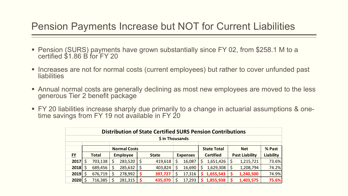#### Pension Payments Increase but NOT for Current Liabilities

- Pension (SURS) payments have grown substantially since FY 02, from \$258.1 M to a certified \$1.86 B for FY 20
- **Increases are not for normal costs (current employees) but rather to cover unfunded past liabilities**
- Annual normal costs are generally declining as most new employees are moved to the less generous Tier 2 benefit package
- FY 20 liabilities increase sharply due primarily to a change in actuarial assumptions & one- time savings from FY 19 not available in FY 20

| <b>Distribution of State Certified SURS Pension Contributions</b> |                     |         |                 |         |   |                    |    |                 |            |                  |        |                       |                  |
|-------------------------------------------------------------------|---------------------|---------|-----------------|---------|---|--------------------|----|-----------------|------------|------------------|--------|-----------------------|------------------|
| \$ in Thousands                                                   |                     |         |                 |         |   |                    |    |                 |            |                  |        |                       |                  |
|                                                                   | <b>Normal Costs</b> |         |                 |         |   | <b>State Total</b> |    |                 | <b>Net</b> |                  | % Past |                       |                  |
| $FY$                                                              | Total               |         | <b>Employee</b> |         |   | <b>State</b>       |    | <b>Expenses</b> |            | <b>Certified</b> |        | <b>Past Liability</b> | <b>Liability</b> |
| 2017                                                              | S                   | 703,138 |                 | 283,520 |   | 419,618            |    | 16,087          | S          | 1,651,426        |        | 1,215,721             | 73.6%            |
| 2018                                                              | S                   | 689,456 |                 | 285,632 |   | 403,824            |    | 16,690          | S          | 1,629,308        |        | 1,208,794             | 74.2%            |
| 2019                                                              | Ś.                  | 676,719 |                 | 278,992 | S | 397,727            |    | 17,316          |            | 1,655,543        |        | 1,240,500             | 74.9%            |
| 2020                                                              |                     | 716,385 |                 | 281,315 |   | 435,070            | \$ | 17,293          | S          | 1,855,938        |        | 1,403,575             | 75.6%            |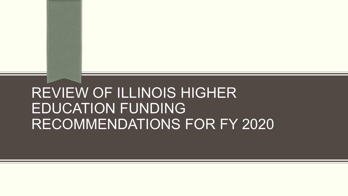# REVIEW OF ILLINOIS HIGHER EDUCATION FUNDING RECOMMENDATIONS FOR FY 2020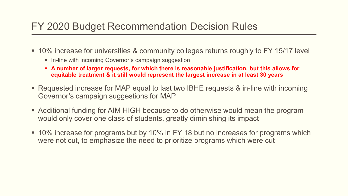#### FY 2020 Budget Recommendation Decision Rules

- 10% increase for universities & community colleges returns roughly to FY 15/17 level
	- In-line with incoming Governor's campaign suggestion
	- **A number of larger requests, for which there is reasonable justification, but this allows for equitable treatment & it still would represent the largest increase in at least 30 years**
- Requested increase for MAP equal to last two IBHE requests & in-line with incoming Governor's campaign suggestions for MAP
- Additional funding for AIM HIGH because to do otherwise would mean the program would only cover one class of students, greatly diminishing its impact
- 10% increase for programs but by 10% in FY 18 but no increases for programs which were not cut, to emphasize the need to prioritize programs which were cut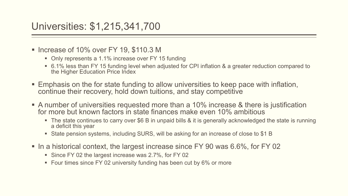#### Universities: \$1,215,341,700

- Increase of 10% over FY 19,  $$110.3$  M
	- Only represents a 1.1% increase over FY 15 funding
	- 6.1% less than FY 15 funding level when adjusted for CPI inflation & a greater reduction compared to the Higher Education Price Index
- Emphasis on the for state funding to allow universities to keep pace with inflation, continue their recovery, hold down tuitions, and stay competitive
- A number of universities requested more than a 10% increase & there is justification for more but known factors in state finances make even 10% ambitious
	- The state continues to carry over \$6 B in unpaid bills & it is generally acknowledged the state is running a deficit this year
	- State pension systems, including SURS, will be asking for an increase of close to \$1 B
- In a historical context, the largest increase since FY 90 was 6.6%, for FY 02
	- Since FY 02 the largest increase was 2.7%, for FY 02
	- Four times since FY 02 university funding has been cut by 6% or more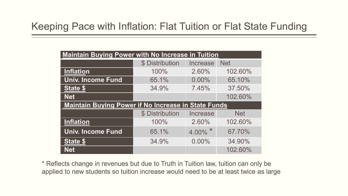#### Keeping Pace with Inflation: Flat Tuition or Flat State Funding

| <b>Maintain Buying Power with No Increase in Tuition</b>   |                 |          |            |  |  |
|------------------------------------------------------------|-----------------|----------|------------|--|--|
|                                                            | \$ Distribution | Increase | <b>Net</b> |  |  |
| <b>Inflation</b>                                           | 100%            | 2.60%    | 102.60%    |  |  |
| <b>Univ. Income Fund</b>                                   | 65.1%           | $0.00\%$ | 65.10%     |  |  |
| <b>State \$</b>                                            | 34.9%           | 7.45%    | 37.50%     |  |  |
| <b>Net</b>                                                 |                 |          | 102.60%    |  |  |
| <b>Maintain Buying Power if No Increase in State Funds</b> |                 |          |            |  |  |
|                                                            | \$ Distribution | Increase | <b>Net</b> |  |  |
| <b>Inflation</b>                                           | 100%            | 2.60%    | 102.60%    |  |  |
| <b>Univ. Income Fund</b>                                   | 65.1%           | 4.00%    | 67.70%     |  |  |
| State \$                                                   | 34.9%           | $0.00\%$ | 34.90%     |  |  |
| <b>Net</b>                                                 |                 |          | 102.60%    |  |  |

\* Reflects change in revenues but due to Truth in Tuition law, tuition can only be applied to new students so tuition increase would need to be at least twice as large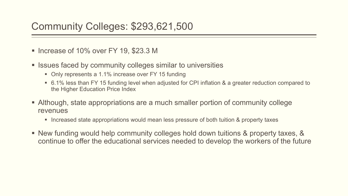#### Community Colleges: \$293,621,500

- Increase of 10% over FY 19, \$23.3 M
- Issues faced by community colleges similar to universities
	- Only represents a 1.1% increase over FY 15 funding
	- 6.1% less than FY 15 funding level when adjusted for CPI inflation & a greater reduction compared to the Higher Education Price Index
- Although, state appropriations are a much smaller portion of community college revenues
	- **Increased state appropriations would mean less pressure of both tuition & property taxes**
- New funding would help community colleges hold down tuitions & property taxes, & continue to offer the educational services needed to develop the workers of the future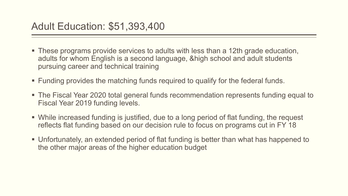- These programs provide services to adults with less than a 12th grade education, adults for whom English is a second language, &high school and adult students pursuing career and technical training
- Funding provides the matching funds required to qualify for the federal funds.
- The Fiscal Year 2020 total general funds recommendation represents funding equal to Fiscal Year 2019 funding levels.
- While increased funding is justified, due to a long period of flat funding, the request reflects flat funding based on our decision rule to focus on programs cut in FY 18
- Unfortunately, an extended period of flat funding is better than what has happened to the other major areas of the higher education budget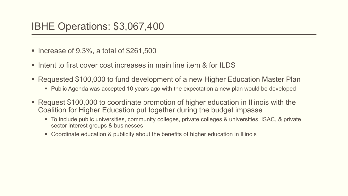#### IBHE Operations: \$3,067,400

- Increase of  $9.3\%$ , a total of  $$261,500$
- Intent to first cover cost increases in main line item & for ILDS
- Requested \$100,000 to fund development of a new Higher Education Master Plan
	- Public Agenda was accepted 10 years ago with the expectation a new plan would be developed
- Request \$100,000 to coordinate promotion of higher education in Illinois with the Coalition for Higher Education put together during the budget impasse
	- To include public universities, community colleges, private colleges & universities, ISAC, & private sector interest groups & businesses
	- Coordinate education & publicity about the benefits of higher education in Illinois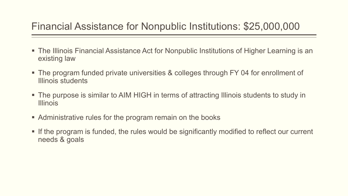#### Financial Assistance for Nonpublic Institutions: \$25,000,000

- The Illinois Financial Assistance Act for Nonpublic Institutions of Higher Learning is an existing law
- The program funded private universities & colleges through FY 04 for enrollment of Illinois students
- The purpose is similar to AIM HIGH in terms of attracting Illinois students to study in Illinois
- **Administrative rules for the program remain on the books**
- If the program is funded, the rules would be significantly modified to reflect our current needs & goals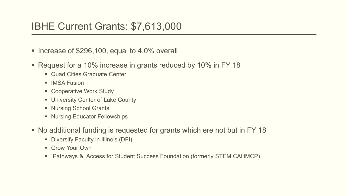#### IBHE Current Grants: \$7,613,000

- Increase of  $$296,100$ , equal to 4.0% overall
- Request for a 10% increase in grants reduced by 10% in FY 18
	- **Quad Cities Graduate Center**
	- **IMSA Fusion**
	- Cooperative Work Study
	- **University Center of Lake County**
	- **Nursing School Grants**
	- Nursing Educator Fellowships
- No additional funding is requested for grants which ere not but in FY 18
	- **Diversify Faculty in Illinois (DFI)**
	- **Grow Your Own**
	- Pathways & Access for Student Success Foundation (formerly STEM CAHMCP)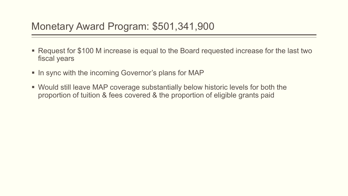#### Monetary Award Program: \$501,341,900

- Request for \$100 M increase is equal to the Board requested increase for the last two fiscal years
- In sync with the incoming Governor's plans for MAP
- Would still leave MAP coverage substantially below historic levels for both the proportion of tuition & fees covered & the proportion of eligible grants paid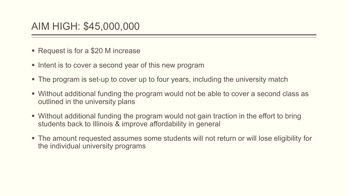#### AIM HIGH: \$45,000,000

- Request is for a \$20 M increase
- **Intent is to cover a second year of this new program**
- The program is set-up to cover up to four years, including the university match
- Without additional funding the program would not be able to cover a second class as outlined in the university plans
- Without additional funding the program would not gain traction in the effort to bring students back to Illinois & improve affordability in general
- The amount requested assumes some students will not return or will lose eligibility for the individual university programs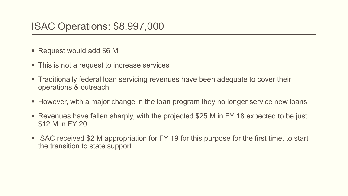#### ISAC Operations: \$8,997,000

- Request would add \$6 M
- This is not a request to increase services
- Traditionally federal loan servicing revenues have been adequate to cover their operations & outreach
- However, with a major change in the loan program they no longer service new loans
- Revenues have fallen sharply, with the projected \$25 M in FY 18 expected to be just \$12 M in FY 20
- ISAC received \$2 M appropriation for FY 19 for this purpose for the first time, to start the transition to state support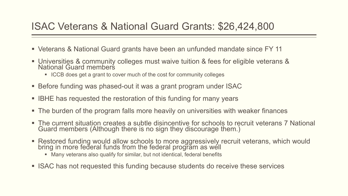#### ISAC Veterans & National Guard Grants: \$26,424,800

- Veterans & National Guard grants have been an unfunded mandate since FY 11
- Universities & community colleges must waive tuition & fees for eligible veterans & National Guard members
	- **ICCB** does get a grant to cover much of the cost for community colleges
- Before funding was phased-out it was a grant program under ISAC
- IBHE has requested the restoration of this funding for many years
- The burden of the program falls more heavily on universities with weaker finances
- The current situation creates a subtle disincentive for schools to recruit veterans 7 National Guard members (Although there is no sign they discourage them.)
- Restored funding would allow schools to more aggressively recruit veterans, which would bring in more federal funds from the federal program as well
	- Many veterans also qualify for similar, but not identical, federal benefits
- ISAC has not requested this funding because students do receive these services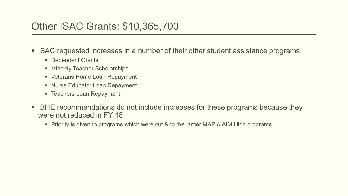#### Other ISAC Grants: \$10,365,700

- ISAC requested increases in a number of their other student assistance programs
	- **Dependent Grants**
	- **Minority Teacher Scholarships**
	- **Veterans Home Loan Repayment**
	- **Nurse Educator Loan Repayment**
	- Teachers Loan Repayment
- **IBHE recommendations do not include increases for these programs because they** were not reduced in FY 18
	- **Piority is given to programs which were cut & to the larger MAP & AIM High programs**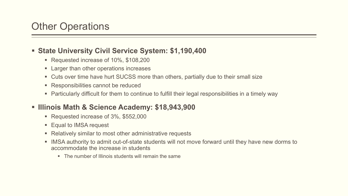#### **State University Civil Service System: \$1,190,400**

- Requested increase of 10%, \$108,200
- **Larger than other operations increases**
- Cuts over time have hurt SUCSS more than others, partially due to their small size
- Responsibilities cannot be reduced
- Particularly difficult for them to continue to fulfill their legal responsibilities in a timely way

#### **Illinois Math & Science Academy: \$18,943,900**

- Requested increase of 3%, \$552,000
- Equal to IMSA request
- Relatively similar to most other administrative requests
- IMSA authority to admit out-of-state students will not move forward until they have new dorms to accommodate the increase in students
	- The number of Illinois students will remain the same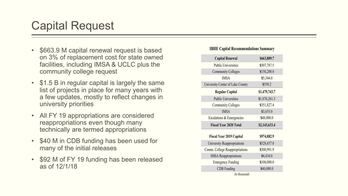## Capital Request

- \$663.9 M capital renewal request is based on 3% of replacement cost for state owned facilities, including IMSA & UCLC plus the community college request
- \$1.5 B in regular capital is largely the same list of projects in place for many years with a few updates, mostly to reflect changes in university priorities
- All FY 19 appropriations are considered reappropriations even though many technically are termed appropriations
- \$40 M in CDB funding has been used for many of the initial releases
- \$92 M of FY 19 funding has been released as of 12/1/18

#### **IBHE Capital Recommendations Summary**

| <b>Capital Renewal</b>           | \$663,889.7   |
|----------------------------------|---------------|
| <b>Public Universities</b>       | \$507,787.5   |
| <b>Community Colleges</b>        | \$150,200.0   |
| <b>IMSA</b>                      | \$5,344.0     |
| University Center of Lake County | \$558.2       |
| <b>Regular Capital</b>           | \$1,479,743.7 |
| <b>Public Universities</b>       | \$1,076,261.3 |
| <b>Community Colleges</b>        | \$351,827.4   |
| <b>IMSA</b>                      | \$3,655.0     |
| Escalations & Emergencies        | \$48,000.0    |
| <b>Fiscal Year 2020 Total</b>    | \$2,143,633.4 |
| <b>Fiscal Year 2019 Capital</b>  | \$974,082.9   |
| University Reappropriations      | \$528,657.0   |
|                                  |               |
| Comm. College Reappropriations   | \$300,991.9   |
| <b>IMSA</b> Reappropriations     | \$4,434.0     |
| <b>Emergency Funding</b>         | \$100,000.0   |
| <b>CDB</b> Funding               | \$40,000.0    |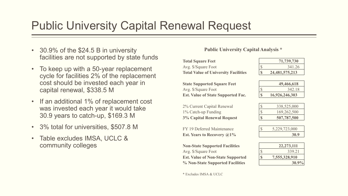## Public University Capital Renewal Request

- 30.9% of the \$24.5 B in university facilities are not supported by state funds
- To keep up with a 50-year replacement cycle for facilities 2% of the replacement cost should be invested each year in capital renewal, \$338.5 M
- If an additional 1% of replacement cost was invested each year it would take 30.9 years to catch-up, \$169.3 M
- 3% total for universities, \$507.8 M
- Table excludes IMSA, UCLC & community colleges

#### **Public University Capital Analysis \***

| <b>Total Square Feet</b>                    |              | 71,739,730        |
|---------------------------------------------|--------------|-------------------|
| Avg. \$/Square Foot                         |              | 341.26            |
| <b>Total Value of University Facilities</b> | <sup>S</sup> | 24, 481, 575, 213 |
|                                             |              |                   |

| 342.18         |
|----------------|
| 16,926,246,303 |
|                |

| 338,525,000 |
|-------------|
| 169,262,500 |
| 507,787,500 |

| ,229,723,000 |
|--------------|
|              |

| <b>Non-State Supported Facilities</b>    |   | 22, 273, 111  |
|------------------------------------------|---|---------------|
| Avg. \$/Square Foot                      | S | 339.21        |
| <b>Est. Value of Non-State Supported</b> | S | 7,555,328,910 |
| % Non-State Supported Facilities         |   | $30.9\%$      |

| 22, 273, 111  |
|---------------|
| 339.21        |
| 7,555,328,910 |
| $30.9\%$      |

2% Current Capital Renewal

**3% Capital Renewal Request \$ 507,787,500** 

FY 19 Deferred Maintenance **Est. Years to Recovery @1%** 

 $1\%$  Catch-up Funding